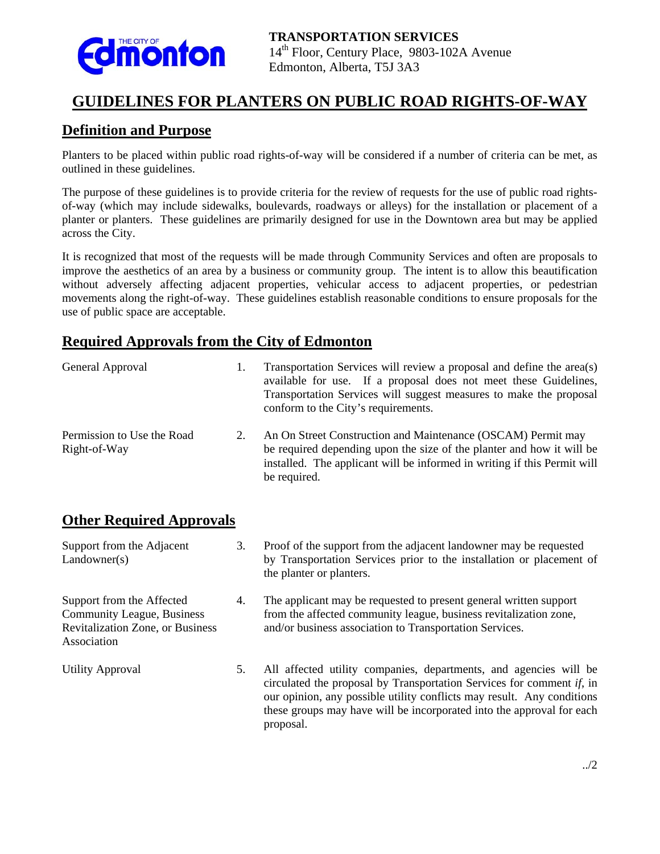

## **GUIDELINES FOR PLANTERS ON PUBLIC ROAD RIGHTS-OF-WAY**

#### **Definition and Purpose**

Planters to be placed within public road rights-of-way will be considered if a number of criteria can be met, as outlined in these guidelines.

The purpose of these guidelines is to provide criteria for the review of requests for the use of public road rightsof-way (which may include sidewalks, boulevards, roadways or alleys) for the installation or placement of a planter or planters. These guidelines are primarily designed for use in the Downtown area but may be applied across the City.

It is recognized that most of the requests will be made through Community Services and often are proposals to improve the aesthetics of an area by a business or community group. The intent is to allow this beautification without adversely affecting adjacent properties, vehicular access to adjacent properties, or pedestrian movements along the right-of-way. These guidelines establish reasonable conditions to ensure proposals for the use of public space are acceptable.

#### **Required Approvals from the City of Edmonton**

| General Approval                           | Transportation Services will review a proposal and define the area(s)<br>available for use. If a proposal does not meet these Guidelines,<br>Transportation Services will suggest measures to make the proposal<br>conform to the City's requirements. |
|--------------------------------------------|--------------------------------------------------------------------------------------------------------------------------------------------------------------------------------------------------------------------------------------------------------|
| Permission to Use the Road<br>Right-of-Way | An On Street Construction and Maintenance (OSCAM) Permit may<br>be required depending upon the size of the planter and how it will be<br>installed. The applicant will be informed in writing if this Permit will<br>be required.                      |

### **Other Required Approvals**

| Support from the Adjacent<br>Landowner(s)                                                                         | 3. | Proof of the support from the adjacent landowner may be requested<br>by Transportation Services prior to the installation or placement of<br>the planter or planters.                                                                                                                                         |
|-------------------------------------------------------------------------------------------------------------------|----|---------------------------------------------------------------------------------------------------------------------------------------------------------------------------------------------------------------------------------------------------------------------------------------------------------------|
| Support from the Affected<br><b>Community League, Business</b><br>Revitalization Zone, or Business<br>Association | 4. | The applicant may be requested to present general written support<br>from the affected community league, business revitalization zone,<br>and/or business association to Transportation Services.                                                                                                             |
| <b>Utility Approval</b>                                                                                           | 5. | All affected utility companies, departments, and agencies will be<br>circulated the proposal by Transportation Services for comment $if$ , in<br>our opinion, any possible utility conflicts may result. Any conditions<br>these groups may have will be incorporated into the approval for each<br>proposal. |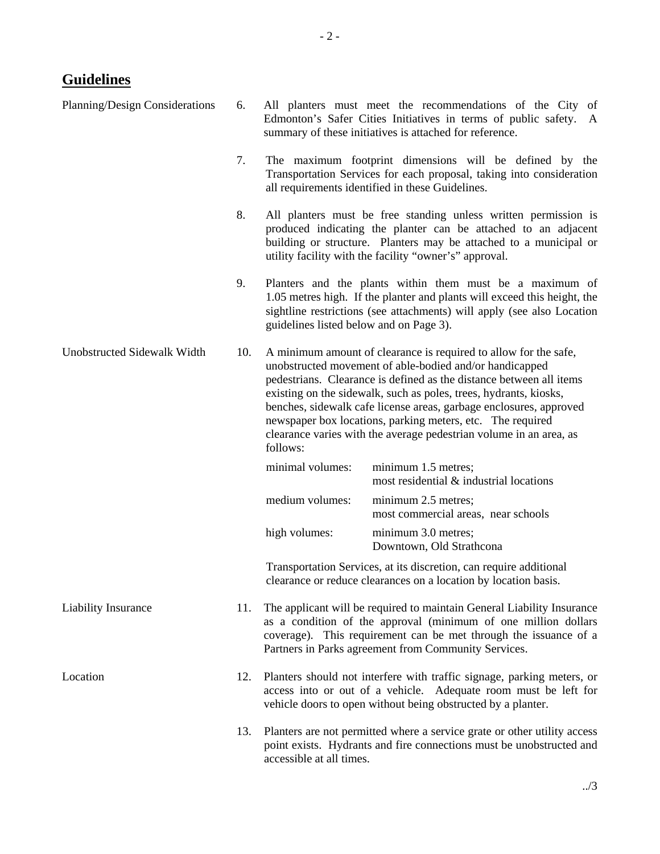# **Guidelines**

| Planning/Design Considerations | 6.  |                                                                                                                                                                                                                                                                                                                                                                                                                                                                                               | All planters must meet the recommendations of the City of<br>Edmonton's Safer Cities Initiatives in terms of public safety. A<br>summary of these initiatives is attached for reference.                                                                         |
|--------------------------------|-----|-----------------------------------------------------------------------------------------------------------------------------------------------------------------------------------------------------------------------------------------------------------------------------------------------------------------------------------------------------------------------------------------------------------------------------------------------------------------------------------------------|------------------------------------------------------------------------------------------------------------------------------------------------------------------------------------------------------------------------------------------------------------------|
|                                | 7.  |                                                                                                                                                                                                                                                                                                                                                                                                                                                                                               | The maximum footprint dimensions will be defined by the<br>Transportation Services for each proposal, taking into consideration<br>all requirements identified in these Guidelines.                                                                              |
|                                | 8.  |                                                                                                                                                                                                                                                                                                                                                                                                                                                                                               | All planters must be free standing unless written permission is<br>produced indicating the planter can be attached to an adjacent<br>building or structure. Planters may be attached to a municipal or<br>utility facility with the facility "owner's" approval. |
|                                | 9.  | guidelines listed below and on Page 3).                                                                                                                                                                                                                                                                                                                                                                                                                                                       | Planters and the plants within them must be a maximum of<br>1.05 metres high. If the planter and plants will exceed this height, the<br>sightline restrictions (see attachments) will apply (see also Location                                                   |
| Unobstructed Sidewalk Width    |     | A minimum amount of clearance is required to allow for the safe,<br>unobstructed movement of able-bodied and/or handicapped<br>pedestrians. Clearance is defined as the distance between all items<br>existing on the sidewalk, such as poles, trees, hydrants, kiosks,<br>benches, sidewalk cafe license areas, garbage enclosures, approved<br>newspaper box locations, parking meters, etc. The required<br>clearance varies with the average pedestrian volume in an area, as<br>follows: |                                                                                                                                                                                                                                                                  |
|                                |     | minimal volumes:                                                                                                                                                                                                                                                                                                                                                                                                                                                                              | minimum 1.5 metres;<br>most residential & industrial locations                                                                                                                                                                                                   |
|                                |     | medium volumes:                                                                                                                                                                                                                                                                                                                                                                                                                                                                               | minimum 2.5 metres;<br>most commercial areas, near schools                                                                                                                                                                                                       |
|                                |     | high volumes:                                                                                                                                                                                                                                                                                                                                                                                                                                                                                 | minimum 3.0 metres;<br>Downtown, Old Strathcona                                                                                                                                                                                                                  |
|                                |     |                                                                                                                                                                                                                                                                                                                                                                                                                                                                                               | Transportation Services, at its discretion, can require additional<br>clearance or reduce clearances on a location by location basis.                                                                                                                            |
| Liability Insurance            | 11. | The applicant will be required to maintain General Liability Insurance<br>as a condition of the approval (minimum of one million dollars<br>coverage). This requirement can be met through the issuance of a<br>Partners in Parks agreement from Community Services.                                                                                                                                                                                                                          |                                                                                                                                                                                                                                                                  |
| Location                       | 12. | Planters should not interfere with traffic signage, parking meters, or<br>access into or out of a vehicle. Adequate room must be left for<br>vehicle doors to open without being obstructed by a planter.                                                                                                                                                                                                                                                                                     |                                                                                                                                                                                                                                                                  |
|                                | 13. | Planters are not permitted where a service grate or other utility access<br>point exists. Hydrants and fire connections must be unobstructed and<br>accessible at all times.                                                                                                                                                                                                                                                                                                                  |                                                                                                                                                                                                                                                                  |